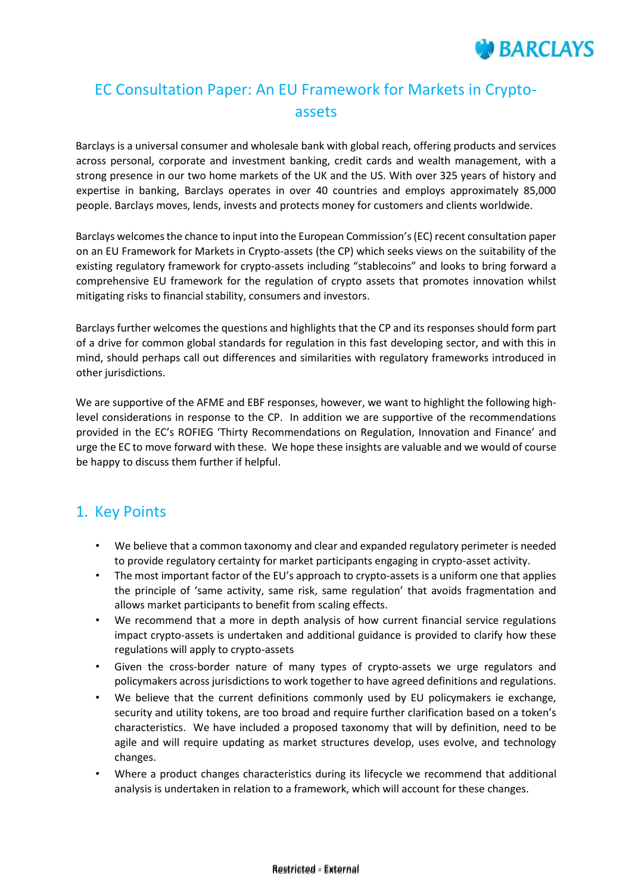

# EC Consultation Paper: An EU Framework for Markets in Cryptoassets

Barclays is a universal consumer and wholesale bank with global reach, offering products and services across personal, corporate and investment banking, credit cards and wealth management, with a strong presence in our two home markets of the UK and the US. With over 325 years of history and expertise in banking, Barclays operates in over 40 countries and employs approximately 85,000 people. Barclays moves, lends, invests and protects money for customers and clients worldwide.

Barclays welcomes the chance to input into the European Commission's (EC) recent consultation paper on an EU Framework for Markets in Crypto-assets (the CP) which seeks views on the suitability of the existing regulatory framework for crypto-assets including "stablecoins" and looks to bring forward a comprehensive EU framework for the regulation of crypto assets that promotes innovation whilst mitigating risks to financial stability, consumers and investors.

Barclays further welcomes the questions and highlights that the CP and its responses should form part of a drive for common global standards for regulation in this fast developing sector, and with this in mind, should perhaps call out differences and similarities with regulatory frameworks introduced in other jurisdictions.

We are supportive of the AFME and EBF responses, however, we want to highlight the following highlevel considerations in response to the CP. In addition we are supportive of the recommendations provided in the EC's ROFIEG 'Thirty Recommendations on Regulation, Innovation and Finance' and urge the EC to move forward with these. We hope these insights are valuable and we would of course be happy to discuss them further if helpful.

### 1. Key Points

- We believe that a common taxonomy and clear and expanded regulatory perimeter is needed to provide regulatory certainty for market participants engaging in crypto-asset activity.
- The most important factor of the EU's approach to crypto-assets is a uniform one that applies the principle of 'same activity, same risk, same regulation' that avoids fragmentation and allows market participants to benefit from scaling effects.
- We recommend that a more in depth analysis of how current financial service regulations impact crypto-assets is undertaken and additional guidance is provided to clarify how these regulations will apply to crypto-assets
- Given the cross-border nature of many types of crypto-assets we urge regulators and policymakers across jurisdictions to work together to have agreed definitions and regulations.
- We believe that the current definitions commonly used by EU policymakers ie exchange, security and utility tokens, are too broad and require further clarification based on a token's characteristics. We have included a proposed taxonomy that will by definition, need to be agile and will require updating as market structures develop, uses evolve, and technology changes.
- Where a product changes characteristics during its lifecycle we recommend that additional analysis is undertaken in relation to a framework, which will account for these changes.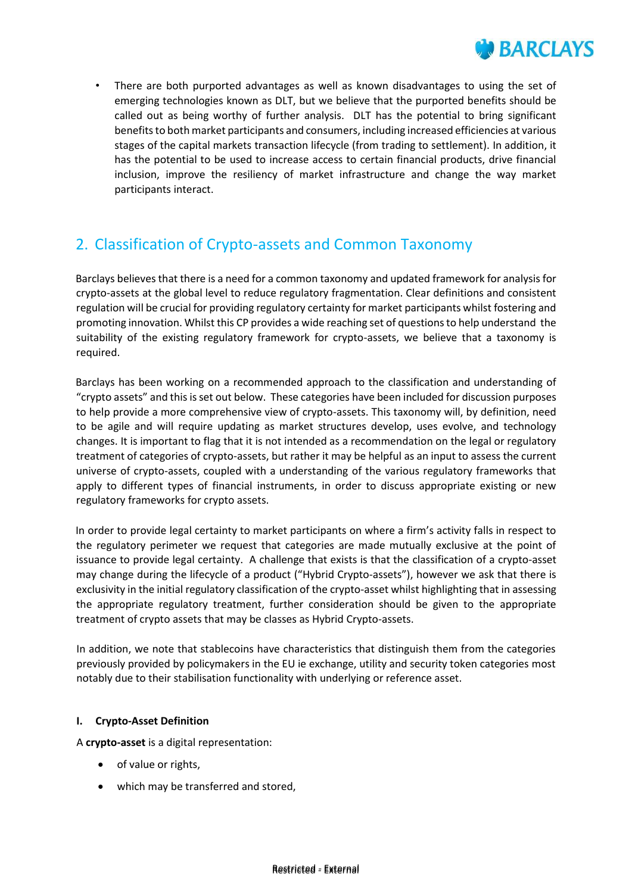

There are both purported advantages as well as known disadvantages to using the set of emerging technologies known as DLT, but we believe that the purported benefits should be called out as being worthy of further analysis. DLT has the potential to bring significant benefits to both market participants and consumers, including increased efficiencies at various stages of the capital markets transaction lifecycle (from trading to settlement). In addition, it has the potential to be used to increase access to certain financial products, drive financial inclusion, improve the resiliency of market infrastructure and change the way market participants interact.

## 2. Classification of Crypto-assets and Common Taxonomy

Barclays believes that there is a need for a common taxonomy and updated framework for analysis for crypto-assets at the global level to reduce regulatory fragmentation. Clear definitions and consistent regulation will be crucial for providing regulatory certainty for market participants whilst fostering and promoting innovation. Whilst this CP provides a wide reaching set of questions to help understand the suitability of the existing regulatory framework for crypto-assets, we believe that a taxonomy is required.

Barclays has been working on a recommended approach to the classification and understanding of "crypto assets" and this is set out below. These categories have been included for discussion purposes to help provide a more comprehensive view of crypto-assets. This taxonomy will, by definition, need to be agile and will require updating as market structures develop, uses evolve, and technology changes. It is important to flag that it is not intended as a recommendation on the legal or regulatory treatment of categories of crypto-assets, but rather it may be helpful as an input to assess the current universe of crypto-assets, coupled with a understanding of the various regulatory frameworks that apply to different types of financial instruments, in order to discuss appropriate existing or new regulatory frameworks for crypto assets.

In order to provide legal certainty to market participants on where a firm's activity falls in respect to the regulatory perimeter we request that categories are made mutually exclusive at the point of issuance to provide legal certainty. A challenge that exists is that the classification of a crypto-asset may change during the lifecycle of a product ("Hybrid Crypto-assets"), however we ask that there is exclusivity in the initial regulatory classification of the crypto-asset whilst highlighting that in assessing the appropriate regulatory treatment, further consideration should be given to the appropriate treatment of crypto assets that may be classes as Hybrid Crypto-assets.

In addition, we note that stablecoins have characteristics that distinguish them from the categories previously provided by policymakers in the EU ie exchange, utility and security token categories most notably due to their stabilisation functionality with underlying or reference asset.

### **I. Crypto-Asset Definition**

A **crypto-asset** is a digital representation:

- of value or rights,
- which may be transferred and stored,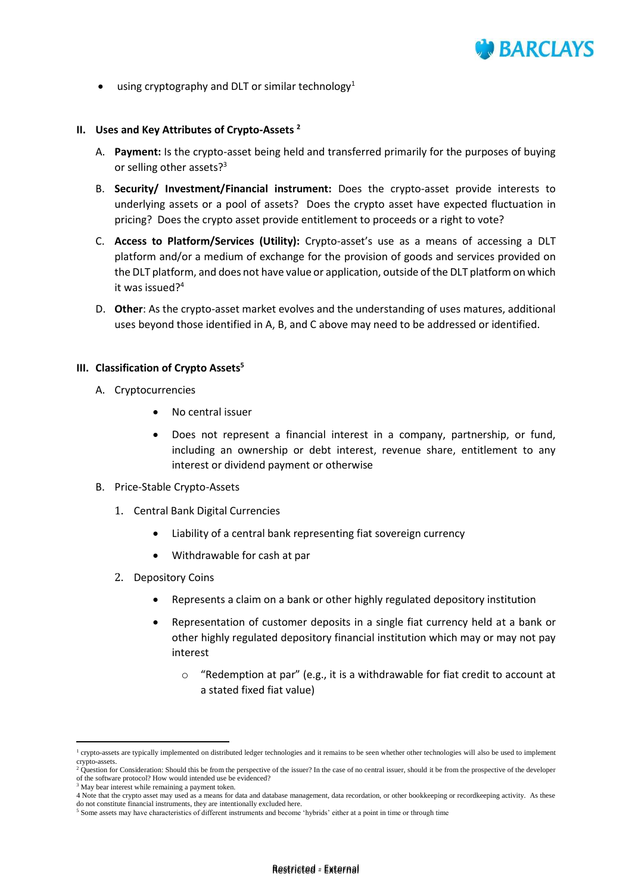

using cryptography and DLT or similar technology<sup>1</sup>

#### **II. Uses and Key Attributes of Crypto-Assets <sup>2</sup>**

- A. **Payment:** Is the crypto-asset being held and transferred primarily for the purposes of buying or selling other assets?<sup>3</sup>
- B. **Security/ Investment/Financial instrument:** Does the crypto-asset provide interests to underlying assets or a pool of assets? Does the crypto asset have expected fluctuation in pricing? Does the crypto asset provide entitlement to proceeds or a right to vote?
- C. **Access to Platform/Services (Utility):** Crypto-asset's use as a means of accessing a DLT platform and/or a medium of exchange for the provision of goods and services provided on the DLT platform, and does not have value or application, outside of the DLT platform on which it was issued?<sup>4</sup>
- D. **Other**: As the crypto-asset market evolves and the understanding of uses matures, additional uses beyond those identified in A, B, and C above may need to be addressed or identified.

#### **III. Classification of Crypto Assets<sup>5</sup>**

- A. Cryptocurrencies
	- No central issuer
	- Does not represent a financial interest in a company, partnership, or fund, including an ownership or debt interest, revenue share, entitlement to any interest or dividend payment or otherwise

#### B. Price-Stable Crypto-Assets

- 1. Central Bank Digital Currencies
	- Liability of a central bank representing fiat sovereign currency
	- Withdrawable for cash at par
- 2. Depository Coins
	- Represents a claim on a bank or other highly regulated depository institution
	- Representation of customer deposits in a single fiat currency held at a bank or other highly regulated depository financial institution which may or may not pay interest
		- o "Redemption at par" (e.g., it is a withdrawable for fiat credit to account at a stated fixed fiat value)

 $\overline{\phantom{a}}$ 

<sup>&</sup>lt;sup>1</sup> crypto-assets are typically implemented on distributed ledger technologies and it remains to be seen whether other technologies will also be used to implement crypto-assets. <sup>2</sup> Question for Consideration: Should this be from the perspective of the issuer? In the case of no central issuer, should it be from the prospective of the developer

of the software protocol? How would intended use be evidenced?

<sup>3</sup> May bear interest while remaining a payment token.

<sup>4</sup> Note that the crypto asset may used as a means for data and database management, data recordation, or other bookkeeping or recordkeeping activity. As these do not constitute financial instruments, they are intentionally excluded here.

<sup>5</sup> Some assets may have characteristics of different instruments and become 'hybrids' either at a point in time or through time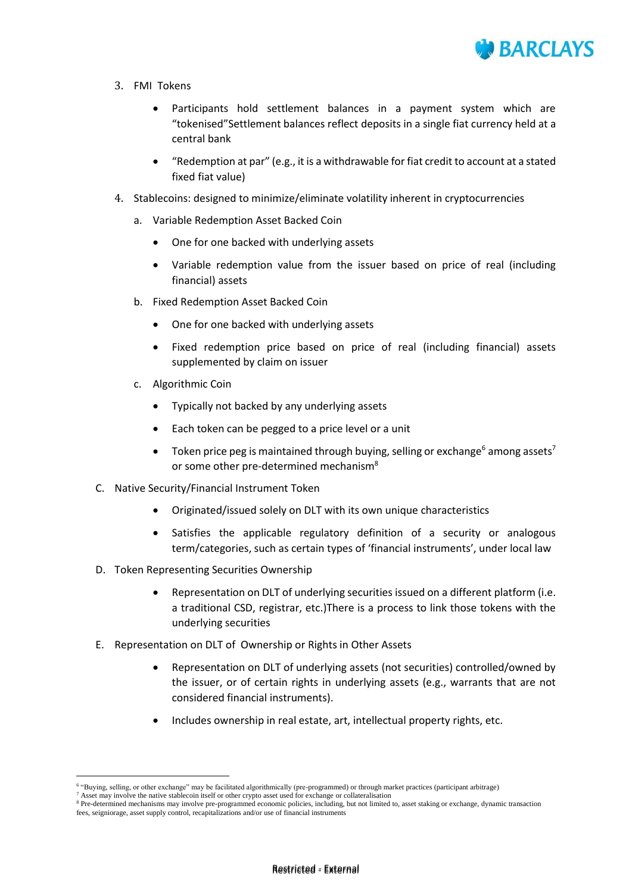

- 3. FMI Tokens
	- Participants hold settlement balances in a payment system which are "tokenised"Settlement balances reflect deposits in a single fiat currency held at a central bank
	- "Redemption at par" (e.g., it is a withdrawable for fiat credit to account at a stated fixed fiat value)
- 4. Stablecoins: designed to minimize/eliminate volatility inherent in cryptocurrencies
	- a. Variable Redemption Asset Backed Coin
		- One for one backed with underlying assets
		- Variable redemption value from the issuer based on price of real (including financial) assets
	- b. Fixed Redemption Asset Backed Coin
		- One for one backed with underlying assets
		- Fixed redemption price based on price of real (including financial) assets supplemented by claim on issuer
	- c. Algorithmic Coin
		- Typically not backed by any underlying assets
		- Each token can be pegged to a price level or a unit
		- Token price peg is maintained through buying, selling or exchange<sup>6</sup> among assets<sup>7</sup> or some other pre-determined mechanism<sup>8</sup>
- C. Native Security/Financial Instrument Token
	- Originated/issued solely on DLT with its own unique characteristics
	- Satisfies the applicable regulatory definition of a security or analogous term/categories, such as certain types of 'financial instruments', under local law
- D. Token Representing Securities Ownership
	- Representation on DLT of underlying securities issued on a different platform (i.e. a traditional CSD, registrar, etc.)There is a process to link those tokens with the underlying securities
- E. Representation on DLT of Ownership or Rights in Other Assets
	- Representation on DLT of underlying assets (not securities) controlled/owned by the issuer, or of certain rights in underlying assets (e.g., warrants that are not considered financial instruments).
	- Includes ownership in real estate, art, intellectual property rights, etc.

1

<sup>&</sup>lt;sup>6</sup> "Buying, selling, or other exchange" may be facilitated algorithmically (pre-programmed) or through market practices (participant arbitrage)

 $<sup>7</sup>$  Asset may involve the native stablecoin itself or other crypto asset used for exchange or collateralisation</sup>

<sup>&</sup>lt;sup>8</sup> Pre-determined mechanisms may involve pre-programmed economic policies, including, but not limited to, asset staking or exchange, dynamic transaction fees, seigniorage, asset supply control, recapitalizations and/or use of financial instruments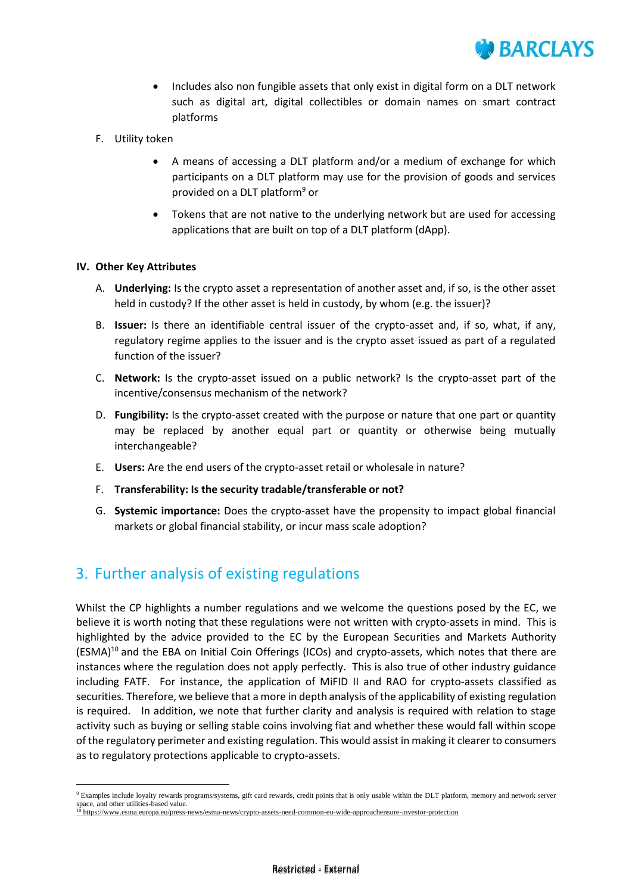

- Includes also non fungible assets that only exist in digital form on a DLT network such as digital art, digital collectibles or domain names on smart contract platforms
- F. Utility token
	- A means of accessing a DLT platform and/or a medium of exchange for which participants on a DLT platform may use for the provision of goods and services provided on a DLT platform<sup>9</sup> or
	- Tokens that are not native to the underlying network but are used for accessing applications that are built on top of a DLT platform (dApp).

### **IV. Other Key Attributes**

1

- A. **Underlying:** Is the crypto asset a representation of another asset and, if so, is the other asset held in custody? If the other asset is held in custody, by whom (e.g. the issuer)?
- B. **Issuer:** Is there an identifiable central issuer of the crypto-asset and, if so, what, if any, regulatory regime applies to the issuer and is the crypto asset issued as part of a regulated function of the issuer?
- C. **Network:** Is the crypto-asset issued on a public network? Is the crypto-asset part of the incentive/consensus mechanism of the network?
- D. **Fungibility:** Is the crypto-asset created with the purpose or nature that one part or quantity may be replaced by another equal part or quantity or otherwise being mutually interchangeable?
- E. **Users:** Are the end users of the crypto-asset retail or wholesale in nature?
- F. **Transferability: Is the security tradable/transferable or not?**
- G. **Systemic importance:** Does the crypto-asset have the propensity to impact global financial markets or global financial stability, or incur mass scale adoption?

### 3. Further analysis of existing regulations

Whilst the CP highlights a number regulations and we welcome the questions posed by the EC, we believe it is worth noting that these regulations were not written with crypto-assets in mind. This is highlighted by the advice provided to the EC by the European Securities and Markets Authority (ESMA)<sup>10</sup> and the EBA on Initial Coin Offerings (ICOs) and crypto-assets, which notes that there are instances where the regulation does not apply perfectly. This is also true of other industry guidance including FATF. For instance, the application of MiFID II and RAO for crypto-assets classified as securities. Therefore, we believe that a more in depth analysis of the applicability of existing regulation is required. In addition, we note that further clarity and analysis is required with relation to stage activity such as buying or selling stable coins involving fiat and whether these would fall within scope of the regulatory perimeter and existing regulation. This would assist in making it clearer to consumers as to regulatory protections applicable to crypto-assets.

<sup>9</sup> Examples include loyalty rewards programs/systems, gift card rewards, credit points that is only usable within the DLT platform, memory and network server space, and other utilities-based value.<br><sup>10</sup> https://www.esma.europa.eu/press-news/esma-news/crypto-assets-need-common-eu-wide-approachensure-investor-protection